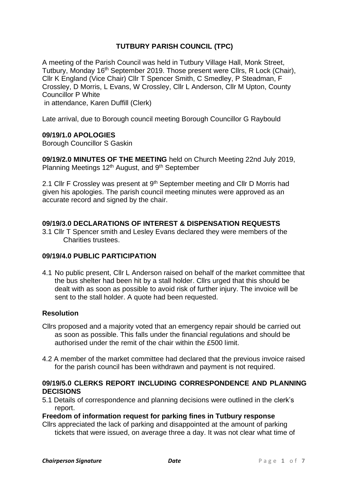# **TUTBURY PARISH COUNCIL (TPC)**

A meeting of the Parish Council was held in Tutbury Village Hall, Monk Street, Tutbury, Monday 16<sup>th</sup> September 2019. Those present were Cllrs, R Lock (Chair), Cllr K England (Vice Chair) Cllr T Spencer Smith, C Smedley, P Steadman, F Crossley, D Morris, L Evans, W Crossley, Cllr L Anderson, Cllr M Upton, County Councillor P White in attendance, Karen Duffill (Clerk)

Late arrival, due to Borough council meeting Borough Councillor G Raybould

## **09/19/1.0 APOLOGIES**

Borough Councillor S Gaskin

**09/19/2.0 MINUTES OF THE MEETING** held on Church Meeting 22nd July 2019, Planning Meetings 12<sup>th</sup> August, and 9<sup>th</sup> September

2.1 Cllr F Crossley was present at 9<sup>th</sup> September meeting and Cllr D Morris had given his apologies. The parish council meeting minutes were approved as an accurate record and signed by the chair.

## **09/19/3.0 DECLARATIONS OF INTEREST & DISPENSATION REQUESTS**

3.1 Cllr T Spencer smith and Lesley Evans declared they were members of the Charities trustees.

## **09/19/4.0 PUBLIC PARTICIPATION**

4.1 No public present, Cllr L Anderson raised on behalf of the market committee that the bus shelter had been hit by a stall holder. Cllrs urged that this should be dealt with as soon as possible to avoid risk of further injury. The invoice will be sent to the stall holder. A quote had been requested.

## **Resolution**

- Cllrs proposed and a majority voted that an emergency repair should be carried out as soon as possible. This falls under the financial regulations and should be authorised under the remit of the chair within the £500 limit.
- 4.2 A member of the market committee had declared that the previous invoice raised for the parish council has been withdrawn and payment is not required.

## **09/19/5.0 CLERKS REPORT INCLUDING CORRESPONDENCE AND PLANNING DECISIONS**

5.1 Details of correspondence and planning decisions were outlined in the clerk's report.

## **Freedom of information request for parking fines in Tutbury response**

Cllrs appreciated the lack of parking and disappointed at the amount of parking tickets that were issued, on average three a day. It was not clear what time of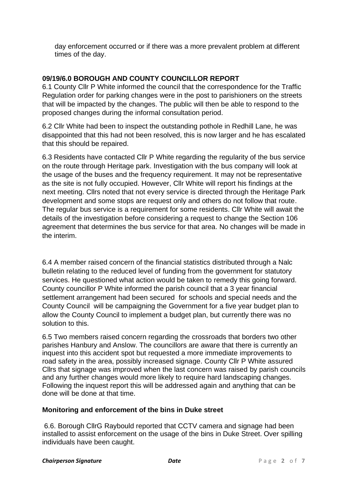day enforcement occurred or if there was a more prevalent problem at different times of the day.

# **09/19/6.0 BOROUGH AND COUNTY COUNCILLOR REPORT**

6.1 County Cllr P White informed the council that the correspondence for the Traffic Regulation order for parking changes were in the post to parishioners on the streets that will be impacted by the changes. The public will then be able to respond to the proposed changes during the informal consultation period.

6.2 Cllr White had been to inspect the outstanding pothole in Redhill Lane, he was disappointed that this had not been resolved, this is now larger and he has escalated that this should be repaired.

6.3 Residents have contacted Cllr P White regarding the regularity of the bus service on the route through Heritage park. Investigation with the bus company will look at the usage of the buses and the frequency requirement. It may not be representative as the site is not fully occupied. However, Cllr White will report his findings at the next meeting. Cllrs noted that not every service is directed through the Heritage Park development and some stops are request only and others do not follow that route. The regular bus service is a requirement for some residents. Cllr White will await the details of the investigation before considering a request to change the Section 106 agreement that determines the bus service for that area. No changes will be made in the interim.

6.4 A member raised concern of the financial statistics distributed through a Nalc bulletin relating to the reduced level of funding from the government for statutory services. He questioned what action would be taken to remedy this going forward. County councillor P White informed the parish council that a 3 year financial settlement arrangement had been secured for schools and special needs and the County Council will be campaigning the Government for a five year budget plan to allow the County Council to implement a budget plan, but currently there was no solution to this.

6.5 Two members raised concern regarding the crossroads that borders two other parishes Hanbury and Anslow. The councillors are aware that there is currently an inquest into this accident spot but requested a more immediate improvements to road safety in the area, possibly increased signage. County Cllr P White assured Cllrs that signage was improved when the last concern was raised by parish councils and any further changes would more likely to require hard landscaping changes. Following the inquest report this will be addressed again and anything that can be done will be done at that time.

## **Monitoring and enforcement of the bins in Duke street**

6.6. Borough CllrG Raybould reported that CCTV camera and signage had been installed to assist enforcement on the usage of the bins in Duke Street. Over spilling individuals have been caught.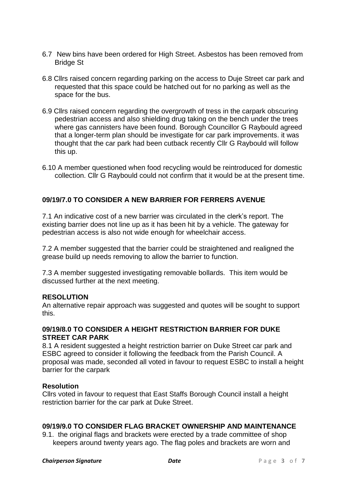- 6.7 New bins have been ordered for High Street. Asbestos has been removed from Bridge St
- 6.8 Cllrs raised concern regarding parking on the access to Duje Street car park and requested that this space could be hatched out for no parking as well as the space for the bus.
- 6.9 Cllrs raised concern regarding the overgrowth of tress in the carpark obscuring pedestrian access and also shielding drug taking on the bench under the trees where gas cannisters have been found. Borough Councillor G Raybould agreed that a longer-term plan should be investigate for car park improvements. it was thought that the car park had been cutback recently Cllr G Raybould will follow this up.
- 6.10 A member questioned when food recycling would be reintroduced for domestic collection. Cllr G Raybould could not confirm that it would be at the present time.

## **09/19/7.0 TO CONSIDER A NEW BARRIER FOR FERRERS AVENUE**

7.1 An indicative cost of a new barrier was circulated in the clerk's report. The existing barrier does not line up as it has been hit by a vehicle. The gateway for pedestrian access is also not wide enough for wheelchair access.

7.2 A member suggested that the barrier could be straightened and realigned the grease build up needs removing to allow the barrier to function.

7.3 A member suggested investigating removable bollards. This item would be discussed further at the next meeting.

## **RESOLUTION**

An alternative repair approach was suggested and quotes will be sought to support this.

#### **09/19/8.0 TO CONSIDER A HEIGHT RESTRICTION BARRIER FOR DUKE STREET CAR PARK**

8.1 A resident suggested a height restriction barrier on Duke Street car park and ESBC agreed to consider it following the feedback from the Parish Council. A proposal was made, seconded all voted in favour to request ESBC to install a height barrier for the carpark

#### **Resolution**

Cllrs voted in favour to request that East Staffs Borough Council install a height restriction barrier for the car park at Duke Street.

## **09/19/9.0 TO CONSIDER FLAG BRACKET OWNERSHIP AND MAINTENANCE**

9.1. the original flags and brackets were erected by a trade committee of shop keepers around twenty years ago. The flag poles and brackets are worn and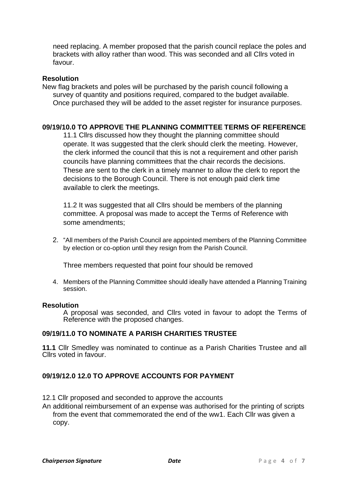need replacing. A member proposed that the parish council replace the poles and brackets with alloy rather than wood. This was seconded and all Cllrs voted in favour.

#### **Resolution**

New flag brackets and poles will be purchased by the parish council following a survey of quantity and positions required, compared to the budget available. Once purchased they will be added to the asset register for insurance purposes.

## **09/19/10.0 TO APPROVE THE PLANNING COMMITTEE TERMS OF REFERENCE**

11.1 Cllrs discussed how they thought the planning committee should operate. It was suggested that the clerk should clerk the meeting. However, the clerk informed the council that this is not a requirement and other parish councils have planning committees that the chair records the decisions. These are sent to the clerk in a timely manner to allow the clerk to report the decisions to the Borough Council. There is not enough paid clerk time available to clerk the meetings.

11.2 It was suggested that all Cllrs should be members of the planning committee. A proposal was made to accept the Terms of Reference with some amendments;

2. "All members of the Parish Council are appointed members of the Planning Committee by election or co-option until they resign from the Parish Council.

Three members requested that point four should be removed

4. Members of the Planning Committee should ideally have attended a Planning Training session.

#### **Resolution**

A proposal was seconded, and Cllrs voted in favour to adopt the Terms of Reference with the proposed changes.

#### **09/19/11.0 TO NOMINATE A PARISH CHARITIES TRUSTEE**

**11.1** Cllr Smedley was nominated to continue as a Parish Charities Trustee and all Cllrs voted in favour.

## **09/19/12.0 12.0 TO APPROVE ACCOUNTS FOR PAYMENT**

12.1 Cllr proposed and seconded to approve the accounts

An additional reimbursement of an expense was authorised for the printing of scripts from the event that commemorated the end of the ww1. Each Cllr was given a copy.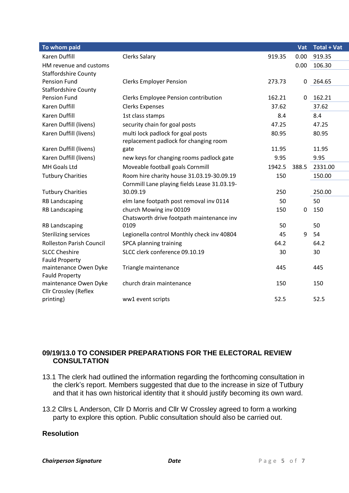| To whom paid                    |                                              |        | Vat   | <b>Total + Vat</b> |
|---------------------------------|----------------------------------------------|--------|-------|--------------------|
| <b>Karen Duffill</b>            | <b>Clerks Salary</b>                         | 919.35 | 0.00  | 919.35             |
| HM revenue and customs          |                                              |        | 0.00  | 106.30             |
| <b>Staffordshire County</b>     |                                              |        |       |                    |
| <b>Pension Fund</b>             | <b>Clerks Employer Pension</b>               | 273.73 | 0     | 264.65             |
| <b>Staffordshire County</b>     |                                              |        |       |                    |
| <b>Pension Fund</b>             | Clerks Employee Pension contribution         | 162.21 | 0     | 162.21             |
| Karen Duffill                   | <b>Clerks Expenses</b>                       | 37.62  |       | 37.62              |
| Karen Duffill                   | 1st class stamps                             | 8.4    |       | 8.4                |
| Karen Duffill (livens)          | security chain for goal posts                | 47.25  |       | 47.25              |
| Karen Duffill (livens)          | multi lock padlock for goal posts            | 80.95  |       | 80.95              |
|                                 | replacement padlock for changing room        |        |       |                    |
| Karen Duffill (livens)          | gate                                         | 11.95  |       | 11.95              |
| Karen Duffill (livens)          | new keys for changing rooms padlock gate     | 9.95   |       | 9.95               |
| MH Goals Ltd                    | Moveable football goals Cornmill             | 1942.5 | 388.5 | 2331.00            |
| <b>Tutbury Charities</b>        | Room hire charity house 31.03.19-30.09.19    | 150    |       | 150.00             |
|                                 | Cornmill Lane playing fields Lease 31.03.19- |        |       |                    |
| <b>Tutbury Charities</b>        | 30.09.19                                     | 250    |       | 250.00             |
| <b>RB Landscaping</b>           | elm lane footpath post removal inv 0114      | 50     |       | 50                 |
| <b>RB Landscaping</b>           | church Mowing inv 00109                      | 150    | 0     | 150                |
|                                 | Chatsworth drive footpath maintenance inv    |        |       |                    |
| <b>RB Landscaping</b>           | 0109                                         | 50     |       | 50                 |
| <b>Sterilizing services</b>     | Legionella control Monthly check inv 40804   | 45     | 9     | 54                 |
| <b>Rolleston Parish Council</b> | SPCA planning training                       | 64.2   |       | 64.2               |
| <b>SLCC Cheshire</b>            | SLCC clerk conference 09.10.19               | 30     |       | 30                 |
| <b>Fauld Property</b>           |                                              |        |       |                    |
| maintenance Owen Dyke           | Triangle maintenance                         | 445    |       | 445                |
| <b>Fauld Property</b>           |                                              |        |       |                    |
| maintenance Owen Dyke           | church drain maintenance                     | 150    |       | 150                |
| Cllr Crossley (Reflex           |                                              |        |       |                    |
| printing)                       | ww1 event scripts                            | 52.5   |       | 52.5               |

# **09/19/13.0 TO CONSIDER PREPARATIONS FOR THE ELECTORAL REVIEW CONSULTATION**

- 13.1 The clerk had outlined the information regarding the forthcoming consultation in the clerk's report. Members suggested that due to the increase in size of Tutbury and that it has own historical identity that it should justify becoming its own ward.
- 13.2 Cllrs L Anderson, Cllr D Morris and Cllr W Crossley agreed to form a working party to explore this option. Public consultation should also be carried out.

# **Resolution**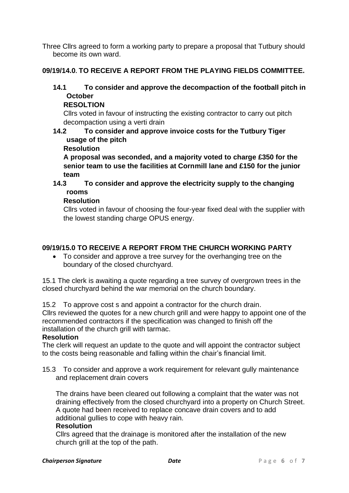Three Cllrs agreed to form a working party to prepare a proposal that Tutbury should become its own ward.

# **09/19/14.0. TO RECEIVE A REPORT FROM THE PLAYING FIELDS COMMITTEE.**

# **14.1 To consider and approve the decompaction of the football pitch in October**

## **RESOLTION**

Cllrs voted in favour of instructing the existing contractor to carry out pitch decompaction using a verti drain

# **14.2 To consider and approve invoice costs for the Tutbury Tiger usage of the pitch**

## **Resolution**

**A proposal was seconded, and a majority voted to charge £350 for the senior team to use the facilities at Cornmill lane and £150 for the junior team**

# **14.3 To consider and approve the electricity supply to the changing rooms**

## **Resolution**

Cllrs voted in favour of choosing the four-year fixed deal with the supplier with the lowest standing charge OPUS energy.

# **09/19/15.0 TO RECEIVE A REPORT FROM THE CHURCH WORKING PARTY**

• To consider and approve a tree survey for the overhanging tree on the boundary of the closed churchyard.

15.1 The clerk is awaiting a quote regarding a tree survey of overgrown trees in the closed churchyard behind the war memorial on the church boundary.

15.2 To approve cost s and appoint a contractor for the church drain.

Cllrs reviewed the quotes for a new church grill and were happy to appoint one of the recommended contractors if the specification was changed to finish off the installation of the church grill with tarmac.

## **Resolution**

The clerk will request an update to the quote and will appoint the contractor subject to the costs being reasonable and falling within the chair's financial limit.

15.3 To consider and approve a work requirement for relevant gully maintenance and replacement drain covers

The drains have been cleared out following a complaint that the water was not draining effectively from the closed churchyard into a property on Church Street. A quote had been received to replace concave drain covers and to add additional gullies to cope with heavy rain.

## **Resolution**

Cllrs agreed that the drainage is monitored after the installation of the new church grill at the top of the path.